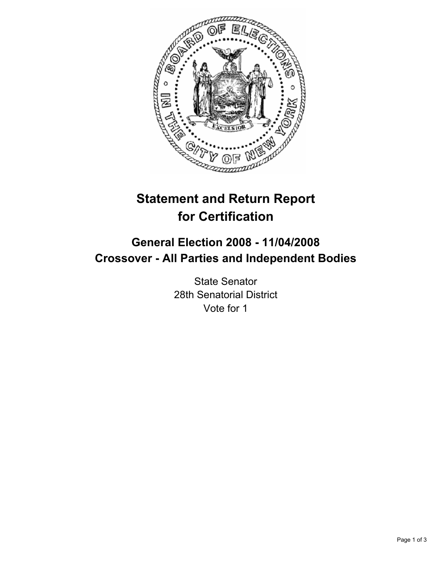

# **Statement and Return Report for Certification**

## **General Election 2008 - 11/04/2008 Crossover - All Parties and Independent Bodies**

State Senator 28th Senatorial District Vote for 1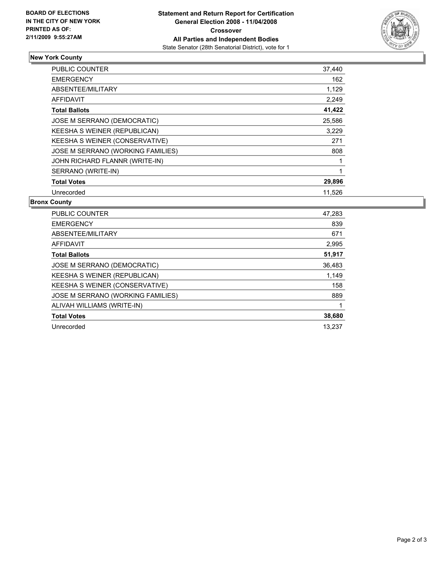

## **New York County**

| PUBLIC COUNTER                    | 37,440 |  |
|-----------------------------------|--------|--|
| <b>EMERGENCY</b>                  | 162    |  |
| ABSENTEE/MILITARY                 | 1,129  |  |
| <b>AFFIDAVIT</b>                  | 2,249  |  |
| <b>Total Ballots</b>              | 41,422 |  |
| JOSE M SERRANO (DEMOCRATIC)       | 25,586 |  |
| KEESHA S WEINER (REPUBLICAN)      | 3.229  |  |
| KEESHA S WEINER (CONSERVATIVE)    | 271    |  |
| JOSE M SERRANO (WORKING FAMILIES) | 808    |  |
| JOHN RICHARD FLANNR (WRITE-IN)    |        |  |
| SERRANO (WRITE-IN)                |        |  |
| <b>Total Votes</b>                | 29,896 |  |
| Unrecorded                        | 11.526 |  |

### **Bronx County**

| PUBLIC COUNTER                    | 47.283 |
|-----------------------------------|--------|
| <b>EMERGENCY</b>                  | 839    |
| ABSENTEE/MILITARY                 | 671    |
| AFFIDAVIT                         | 2,995  |
| <b>Total Ballots</b>              | 51,917 |
| JOSE M SERRANO (DEMOCRATIC)       | 36,483 |
| KEESHA S WEINER (REPUBLICAN)      | 1,149  |
| KEESHA S WEINER (CONSERVATIVE)    | 158    |
| JOSE M SERRANO (WORKING FAMILIES) | 889    |
| ALIVAH WILLIAMS (WRITE-IN)        |        |
| <b>Total Votes</b>                | 38,680 |
| Unrecorded                        | 13.237 |